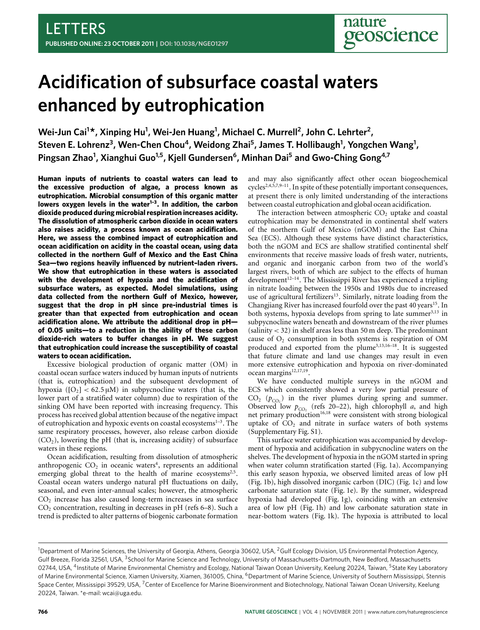# **Acidification of subsurface coastal waters enhanced by eutrophication**

**Wei-Jun Cai<sup>1</sup> \*, Xinping Hu<sup>1</sup> , Wei-Jen Huang<sup>1</sup> , Michael C. Murrell<sup>2</sup> , John C. Lehrter<sup>2</sup> ,** Steven E. Lohrenz<sup>3</sup>, Wen-Chen Chou<sup>4</sup>, Weidong Zhai<sup>5</sup>, James T. Hollibaugh<sup>1</sup>, Yongchen Wang<sup>1</sup>, **Pingsan Zhao<sup>1</sup> , Xianghui Guo1,5, Kjell Gundersen<sup>6</sup> , Minhan Dai<sup>5</sup> and Gwo-Ching Gong4,7**

**Human inputs of nutrients to coastal waters can lead to the excessive production of algae, a process known as eutrophication. Microbial consumption of this organic matter lowers oxygen levels in the water[1](#page-3-0)[–3](#page-3-1) . In addition, the carbon dioxide produced during microbial respiration increases acidity. The dissolution of atmospheric carbon dioxide in ocean waters also raises acidity, a process known as ocean acidification. Here, we assess the combined impact of eutrophication and ocean acidification on acidity in the coastal ocean, using data collected in the northern Gulf of Mexico and the East China Sea—two regions heavily influenced by nutrient–laden rivers. We show that eutrophication in these waters is associated with the development of hypoxia and the acidification of subsurface waters, as expected. Model simulations, using data collected from the northern Gulf of Mexico, however, suggest that the drop in pH since pre-industrial times is greater than that expected from eutrophication and ocean acidification alone. We attribute the additional drop in pH of 0.05 units—to a reduction in the ability of these carbon dioxide-rich waters to buffer changes in pH. We suggest that eutrophication could increase the susceptibility of coastal waters to ocean acidification.**

Excessive biological production of organic matter (OM) in coastal ocean surface waters induced by human inputs of nutrients (that is, eutrophication) and the subsequent development of hypoxia ( $[O_2]$  < 62.5  $\mu$ M) in subpycnocline waters (that is, the lower part of a stratified water column) due to respiration of the sinking OM have been reported with increasing frequency. This process has received global attention because of the negative impact of eutrophication and hypoxic events on coastal ecosystems<sup>[1](#page-3-0)-3</sup>. The same respiratory processes, however, also release carbon dioxide  $(CO<sub>2</sub>)$ , lowering the pH (that is, increasing acidity) of subsurface waters in these regions.

Ocean acidification, resulting from dissolution of atmospheric anthropogenic  $CO<sub>2</sub>$  in oceanic waters<sup>[4](#page-3-2)</sup>, represents an additional emerging global threat to the health of marine ecosystems<sup>[2](#page-3-3)[,5](#page-3-4)</sup>. Coastal ocean waters undergo natural pH fluctuations on daily, seasonal, and even inter-annual scales; however, the atmospheric  $CO<sub>2</sub>$  increase has also caused long-term increases in sea surface  $CO<sub>2</sub>$  concentration, resulting in decreases in pH (refs [6–](#page-3-5)[8\)](#page-3-6). Such a trend is predicted to alter patterns of biogenic carbonate formation and may also significantly affect other ocean biogeochemical cycles<sup>[2,](#page-3-3)[4](#page-3-2)[,5](#page-3-4)[,7,](#page-3-7)[9](#page-3-8)-11</sup>. In spite of these potentially important consequences, at present there is only limited understanding of the interactions between coastal eutrophication and global ocean acidification.

The interaction between atmospheric  $CO<sub>2</sub>$  uptake and coastal eutrophication may be demonstrated in continental shelf waters of the northern Gulf of Mexico (nGOM) and the East China Sea (ECS). Although these systems have distinct characteristics, both the nGOM and ECS are shallow stratified continental shelf environments that receive massive loads of fresh water, nutrients, and organic and inorganic carbon from two of the world's largest rivers, both of which are subject to the effects of human development<sup>[12](#page-3-10)[–14](#page-3-11)</sup>. The Mississippi River has experienced a tripling in nitrate loading between the 1950s and 1980s due to increased use of agricultural fertilizers<sup>[13](#page-3-12)</sup>. Similarly, nitrate loading from the Changjiang River has increased fourfold over the past 40 years<sup>[15](#page-3-13)</sup>. In both systems, hypoxia develops from spring to late summer<sup>[3](#page-3-1)[,13](#page-3-12)</sup> in subpycnocline waters beneath and downstream of the river plumes (salinity < 32) in shelf areas less than 50 m deep. The predominant cause of  $O<sub>2</sub>$  consumption in both systems is respiration of OM produced and exported from the plume<sup>[3,](#page-3-1)[13](#page-3-12)[,16–](#page-3-14)[18](#page-4-0)</sup>. It is suggested that future climate and land use changes may result in even more extensive eutrophication and hypoxia on river-dominated ocean margins<sup>[12](#page-3-10)[,17,](#page-3-15)[19](#page-4-1)</sup>.

We have conducted multiple surveys in the nGOM and ECS which consistently showed a very low partial pressure of  $CO<sub>2</sub>$  ( $p<sub>CO<sub>2</sub></sub>$ ) in the river plumes during spring and summer. Observed low  $p_{CO_2}$  (refs [20–](#page-4-2)[22\)](#page-4-3), high chlorophyll *a*, and high net primary production<sup>[16](#page-3-14)[,18](#page-4-0)</sup> were consistent with strong biological uptake of  $CO<sub>2</sub>$  and nitrate in surface waters of both systems (Supplementary Fig. S1).

This surface water eutrophication was accompanied by development of hypoxia and acidification in subpycnocline waters on the shelves. The development of hypoxia in the nGOM started in spring when water column stratification started [\(Fig.](#page-1-0) [1a](#page-1-0)). Accompanying this early season hypoxia, we observed limited areas of low pH [\(Fig.](#page-1-0) [1b](#page-1-0)), high dissolved inorganic carbon (DIC) [\(Fig.](#page-1-0) [1c](#page-1-0)) and low carbonate saturation state [\(Fig.](#page-1-0) [1e](#page-1-0)). By the summer, widespread hypoxia had developed [\(Fig.](#page-1-0) [1g](#page-1-0)), coinciding with an extensive area of low pH [\(Fig.](#page-1-0) [1h](#page-1-0)) and low carbonate saturation state in near-bottom waters [\(Fig.](#page-1-0) [1k](#page-1-0)). The hypoxia is attributed to local

<sup>&</sup>lt;sup>1</sup>Department of Marine Sciences, the University of Georgia, Athens, Georgia 30602, USA, <sup>2</sup>Gulf Ecology Division, US Environmental Protection Agency, Gulf Breeze, Florida 32561, USA, <sup>3</sup>School for Marine Science and Technology, University of Massachusetts-Dartmouth, New Bedford, Massachusetts 02744, USA, <sup>4</sup>Institute of Marine Environmental Chemistry and Ecology, National Taiwan Ocean University, Keelung 20224, Taiwan, <sup>5</sup>State Key Laboratory of Marine Environmental Science, Xiamen University, Xiamen, 361005, China, <sup>6</sup>Department of Marine Science, University of Southern Mississippi, Stennis Space Center, Mississippi 39529, USA, <sup>7</sup>Center of Excellence for Marine Bioenvironment and Biotechnology, National Taiwan Ocean University, Keelung 20224, Taiwan. \*e-mail: [wcai@uga.edu.](mailto:wcai@uga.edu)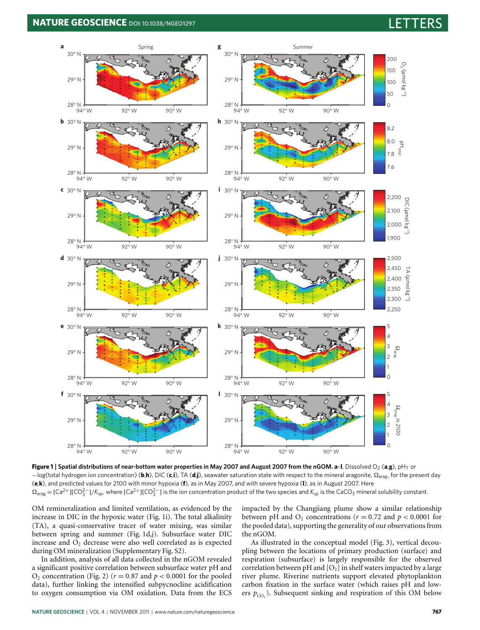# **NATURE GEOSCIENCE** DOI: 10.1038/NGE01297



<span id="page-1-0"></span>**Figure 1** | Spatial distributions of near-bottom water properties in May 2007 and August 2007 from the nGOM. a-I, Dissolved O<sub>2</sub> (a,g), pH<sub>T</sub> or −log(total hydrogen ion concentration) (**b**,**h**), DIC (**c**,**i**), TA (**d**,**j**), seawater saturation state with respect to the mineral aragonite, arag, for the present day (**e**,**k**), and predicted values for 2100 with minor hypoxia (**f**), as in May 2007, and with severe hypoxia (**l**), as in August 2007. Here  $Ω_{\text{drag}}$  = [Ca<sup>2+</sup>][CO $_3^{2-}$ ]/K<sub>sp</sub>, where [Ca<sup>2+</sup>][CO $_3^{2-}$ ] is the ion concentration product of the two species and K<sub>sp</sub> is the CaCO<sub>3</sub> mineral solubility constant.

OM remineralization and limited ventilation, as evidenced by the increase in DIC in the hypoxic water [\(Fig.](#page-1-0) [1i](#page-1-0)). The total alkalinity (TA), a quasi-conservative tracer of water mixing, was similar between spring and summer [\(Fig.](#page-1-0) [1d](#page-1-0),j). Subsurface water DIC increase and  $O<sub>2</sub>$  decrease were also well correlated as is expected during OM mineralization (Supplementary Fig. S2).

In addition, analysis of all data collected in the nGOM revealed a significant positive correlation between subsurface water pH and  $O_2$  concentration [\(Fig.](#page-2-0) [2\)](#page-2-0) ( $r = 0.87$  and  $p < 0.0001$  for the pooled data), further linking the intensified subpycnocline acidification to oxygen consumption via OM oxidation. Data from the ECS impacted by the Changjiang plume show a similar relationship between pH and  $O_2$  concentrations ( $r = 0.72$  and  $p < 0.0001$  for the pooled data), supporting the generality of our observations from the nGOM.

As illustrated in the conceptual model [\(Fig.](#page-2-1) [3\)](#page-2-1), vertical decoupling between the locations of primary production (surface) and respiration (subsurface) is largely responsible for the observed correlation between pH and  $[O_2]$  in shelf waters impacted by a large river plume. Riverine nutrients support elevated phytoplankton carbon fixation in the surface water (which raises pH and lowers  $p_{CO_2}$ ). Subsequent sinking and respiration of this OM below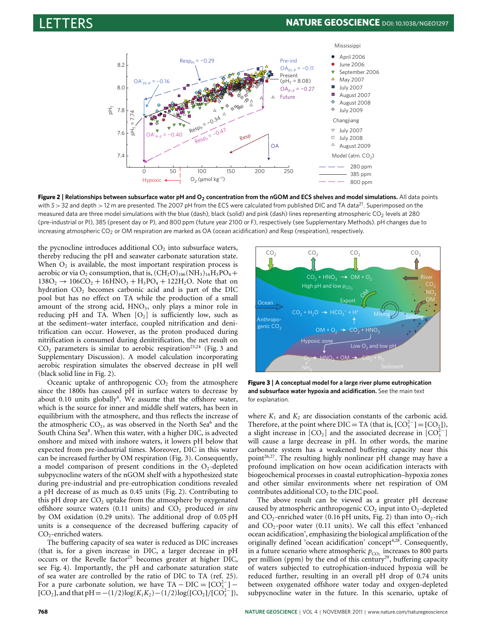

<span id="page-2-0"></span>**Figure 2** | **Relationships between subsurface water pH and O<sup>2</sup> concentration from the nGOM and ECS shelves and model simulations.** All data points with *S* > 32 and depth > 12 m are presented. The 2007 pH from the ECS were calculated from published DIC and TA data<sup>[21](#page-4-4)</sup>. Superimposed on the measured data are three model simulations with the blue (dash), black (solid) and pink (dash) lines representing atmospheric CO<sub>2</sub> levels at 280 (pre-industrial or PI), 385 (present day or P), and 800 ppm (future year 2100 or F), respectively (see Supplementary Methods). pH changes due to increasing atmospheric CO<sub>2</sub> or OM respiration are marked as OA (ocean acidification) and Resp (respiration), respectively.

the pycnocline introduces additional  $CO<sub>2</sub>$  into subsurface waters, thereby reducing the pH and seawater carbonate saturation state. When  $O_2$  is available, the most important respiration process is aerobic or via  $O_2$  consumption, that is,  $(CH_2O)_{106}(NH_3)_{16}H_3PO_4+$  $138O_2 \rightarrow 106CO_2 + 16HNO_3 + H_3PO_4 + 122H_2O$ . Note that on hydration CO<sub>2</sub> becomes carbonic acid and is part of the DIC pool but has no effect on TA while the production of a small amount of the strong acid,  $HNO<sub>3</sub>$ , only plays a minor role in reducing pH and TA. When  $[O_2]$  is sufficiently low, such as at the sediment–water interface, coupled nitrification and denitrification can occur. However, as the proton produced during nitrification is consumed during denitrification, the net result on  $CO<sub>2</sub>$  parameters is similar to aerobic respiration<sup>[23,](#page-4-5)[24](#page-4-6)</sup> [\(Fig.](#page-2-1) [3](#page-2-1) and Supplementary Discussion). A model calculation incorporating aerobic respiration simulates the observed decrease in pH well (black solid line in [Fig.](#page-2-0) [2\)](#page-2-0).

Oceanic uptake of anthropogenic  $CO<sub>2</sub>$  from the atmosphere since the 1800s has caused pH in surface waters to decrease by about  $0.10$  units globally<sup>[4](#page-3-2)</sup>. We assume that the offshore water, which is the source for inner and middle shelf waters, has been in equilibrium with the atmosphere, and thus reflects the increase of the atmospheric  $CO_2$ , as was observed in the North Sea<sup>[6](#page-3-5)</sup> and the South China Sea<sup>[8](#page-3-6)</sup>. When this water, with a higher DIC, is advected onshore and mixed with inshore waters, it lowers pH below that expected from pre-industrial times. Moreover, DIC in this water can be increased further by OM respiration [\(Fig.](#page-2-1) [3\)](#page-2-1). Consequently, a model comparison of present conditions in the  $O<sub>2</sub>$ -depleted subpycnocline waters of the nGOM shelf with a hypothesized state during pre-industrial and pre-eutrophication conditions revealed a pH decrease of as much as 0.45 units [\(Fig.](#page-2-0) [2\)](#page-2-0). Contributing to this pH drop are  $CO<sub>2</sub>$  uptake from the atmosphere by oxygenated offshore source waters (0.11 units) and CO<sub>2</sub> produced *in situ* by OM oxidation (0.29 units). The additional drop of 0.05 pH units is a consequence of the decreased buffering capacity of CO<sub>2</sub>-enriched waters.

The buffering capacity of sea water is reduced as DIC increases (that is, for a given increase in DIC, a larger decrease in pH occurs or the Revelle factor<sup>[25](#page-4-7)</sup> becomes greater at higher DIC, see [Fig.](#page-3-16) [4\)](#page-3-16). Importantly, the pH and carbonate saturation state of sea water are controlled by the ratio of DIC to TA (ref. [25\)](#page-4-7). For a pure carbonate solution, we have  $TA - DIC = [CO_3^{2-}] [CO_2]$ , and that pH =  $-(1/2)log(K_1K_2) - (1/2)log([CO_2]/[CO_3^{2-}])$ ,



<span id="page-2-1"></span>**Figure 3** | **A conceptual model for a large river plume eutrophication and subsurface water hypoxia and acidification.** See the main text for explanation.

where  $K_1$  and  $K_2$  are dissociation constants of the carbonic acid. Therefore, at the point where DIC = TA (that is,  $[CO<sub>3</sub><sup>2</sup>] = [CO<sub>2</sub>])$ , a slight increase in  $[CO_2]$  and the associated decrease in  $[CO_3^{2-}]$ will cause a large decrease in pH. In other words, the marine carbonate system has a weakened buffering capacity near this point<sup>[26,](#page-4-8)[27](#page-4-9)</sup>. The resulting highly nonlinear pH change may have a profound implication on how ocean acidification interacts with biogeochemical processes in coastal eutrophication–hypoxia zones and other similar environments where net respiration of OM contributes additional  $CO<sub>2</sub>$  to the DIC pool.

The above result can be viewed as a greater pH decrease caused by atmospheric anthropogenic  $CO<sub>2</sub>$  input into  $O<sub>2</sub>$ -depleted and  $CO_2$ -enriched water (0.16 pH units, [Fig.](#page-2-0) [2\)](#page-2-0) than into  $O_2$ -rich and  $CO_2$ -poor water (0.11 units). We call this effect 'enhanced ocean acidification', emphasizing the biological amplification of the originally defined 'ocean acidification' concept<sup>[4,](#page-3-2)[28](#page-4-10)</sup>. Consequently, in a future scenario where atmospheric  $p_{CO_2}$  increases to 800 parts per million (ppm) by the end of this century<sup>[29](#page-4-11)</sup>, buffering capacity of waters subjected to eutrophication-induced hypoxia will be reduced further, resulting in an overall pH drop of 0.74 units between oxygenated offshore water today and oxygen-depleted subpycnocline water in the future. In this scenario, uptake of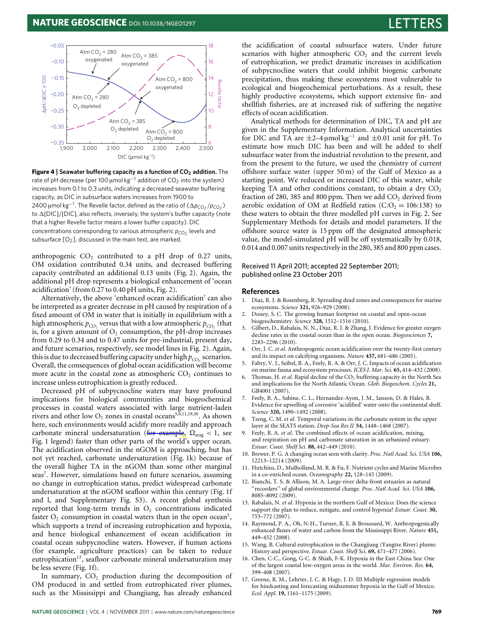### $-0.05$ 18 Atm CO<sub>2</sub> = 280 Atm CO<sub>2</sub> = 385 oxygenated  $\frac{\text{Aun } \text{CO}_2 - \text{On}}{\text{Oxygenated}}$ 16  $-0.10$ 14 ApH/ADIC x 100  $-0.15$ ΔpH/ΔDIC × 100 Atm  $CO<sub>2</sub> = 800$ **Kevelle facto** Revelle factor oxygenated 12  $-0.20$ Atm  $CO<sub>2</sub> = 280$  $O<sub>2</sub>$  depleted  $-0.25$ 10 Atm  $CO<sub>2</sub> = 385$  $-0.30$ 8  $O<sub>2</sub>$  depleted Atm  $CO<sub>2</sub> = 800$  $O<sub>2</sub>$  depleted —ا 0.35–<br>1.900 2,500 1,900 2,000 2,100 2,200 2,300 2,400 2,500 DIC (μmol kg¬1)

<span id="page-3-16"></span>

anthropogenic  $CO<sub>2</sub>$  contributed to a pH drop of 0.27 units, OM oxidation contributed 0.34 units, and decreased buffering capacity contributed an additional 0.13 units [\(Fig.](#page-2-0) [2\)](#page-2-0). Again, the additional pH drop represents a biological enhancement of 'ocean acidification' (from 0.27 to 0.40 pH units, [Fig.](#page-2-0) [2\)](#page-2-0).

Alternatively, the above 'enhanced ocean acidification' can also be interpreted as a greater decrease in pH caused by respiration of a fixed amount of OM in water that is initially in equilibrium with a high atmospheric  $p_{\text{CO}_2}$  versus that with a low atmospheric  $p_{\text{CO}_2}$  (that is, for a given amount of  $O<sub>2</sub>$  consumption, the pH-drop increases from 0.29 to 0.34 and to 0.47 units for pre-industrial, present day, and future scenarios, respectively, see model lines in [Fig.](#page-2-0) [2\)](#page-2-0). Again, this is due to decreased buffering capacity under high  $p_{CO_2}$  scenarios. Overall, the consequences of global ocean acidification will become more acute in the coastal zone as atmospheric  $CO<sub>2</sub>$  continues to increase unless eutrophication is greatly reduced.

Decreased pH of subpycnocline waters may have profound implications for biological communities and biogeochemical processes in coastal waters associated with large nutrient-laden rivers and other low  $O_2$  zones in coastal oceans<sup>[5](#page-3-4)[,9](#page-3-8)[,11,](#page-3-9)[19](#page-4-1)[,30](#page-4-12)</sup>. As shown here, such environments would acidify more readily and approach carbonate mineral undersaturation (for example,  $\Omega_{\text{drag}} < 1$ , see [Fig.](#page-1-0) [1](#page-1-0) legend) faster than other parts of the world's upper ocean. The acidification observed in the nGOM is approaching, but has not yet reached, carbonate undersaturation [\(Fig.](#page-1-0) [1k](#page-1-0)) because of the overall higher TA in the nGOM than some other marginal seas<sup>[7](#page-3-7)</sup>. However, simulations based on future scenarios, assuming no change in eutrophication status, predict widespread carbonate undersaturation at the nGOM seafloor within this century [\(Fig.](#page-1-0) [1f](#page-1-0) and l, and Supplementary Fig. S3). A recent global synthesis reported that long-term trends in  $O<sub>2</sub>$  concentrations indicated faster  $O_2$  consumption in coastal waters than in the open ocean<sup>[3](#page-3-1)</sup>, which supports a trend of increasing eutrophication and hypoxia, and hence biological enhancement of ocean acidification in coastal ocean subpycnocline waters. However, if human actions (for example, agriculture practices) can be taken to reduce eutrophication<sup>[13](#page-3-12)</sup>, seafloor carbonate mineral undersaturation may be less severe [\(Fig.](#page-1-0) [1f](#page-1-0)).

In summary,  $CO<sub>2</sub>$  production during the decomposition of OM produced in and settled from eutrophicated river plumes, such as the Mississippi and Changjiang, has already enhanced

the acidification of coastal subsurface waters. Under future scenarios with higher atmospheric  $CO<sub>2</sub>$  and the current levels of eutrophication, we predict dramatic increases in acidification of subpycnocline waters that could inhibit biogenic carbonate precipitation, thus making these ecosystems most vulnerable to ecological and biogeochemical perturbations. As a result, these highly productive ecosystems, which support extensive fin- and shellfish fisheries, are at increased risk of suffering the negative effects of ocean acidification.

Analytical methods for determination of DIC, TA and pH are given in the Supplementary Information. Analytical uncertainties for DIC and TA are  $\pm 2-4 \mu$ mol kg<sup>-1</sup> and  $\pm 0.01$  unit for pH. To estimate how much DIC has been and will be added to shelf subsurface water from the industrial revolution to the present, and from the present to the future, we used the chemistry of current offshore surface water (upper 50 m) of the Gulf of Mexico as a starting point. We reduced or increased DIC of this water, while keeping TA and other conditions constant, to obtain a dry  $CO<sub>2</sub>$ fraction of 280, 385 and 800 ppm. Then we add  $CO<sub>2</sub>$  derived from aerobic oxidation of OM at Redfield ratios (C:O<sub>2</sub> = 106:138) to these waters to obtain the three modelled pH curves in [Fig.](#page-2-0) [2.](#page-2-0) See Supplementary Methods for details and model parameters. If the offshore source water is 15 ppm off the designated atmospheric value, the model-simulated pH will be off systematically by 0.018, 0.014 and 0.007 units respectively in the 280, 385 and 800 ppm cases.

## Received 11 April 2011; accepted 22 September 2011; published online 23 October 2011

### **References**

- <span id="page-3-0"></span>1. Diaz, R. J. & Rosenberg, R. Spreading dead zones and consequences for marine ecosystems. *Science* **321,** 926–929 (2008).
- <span id="page-3-3"></span>2. Doney, S. C. The growing human footprint on coastal and open-ocean biogeochemistry. *Science* **328,** 1512–1516 (2010).
- <span id="page-3-1"></span>3. Gilbert, D., Rabalais, N. N., Díaz, R. J. & Zhang, J. Evidence for greater oxygen decline rates in the coastal ocean than in the open ocean. *Biogeosciences* **7,** 2283–2296 (2010).
- <span id="page-3-2"></span>4. Orr, J. C. *et al*. Anthropogenic ocean acidification over the twenty-first century and its impact on calcifying organisms. *Nature* **437,** 681–686 (2005).
- <span id="page-3-4"></span>5. Fabry, V. J., Seibel, B. A., Feely, R. A. & Orr, J. C. Impacts of ocean acidification on marine fauna and ecosystem processes. *ICES J. Mar. Sci.* **65,** 414–432 (2008).
- <span id="page-3-5"></span>6. Thomas, H. *et al*. Rapid decline of the CO<sub>2</sub> buffering capacity in the North Sea and implications for the North Atlantic Ocean. *Glob. Biogeochem. Cycles* **21,** GB4001 (2007).
- <span id="page-3-7"></span>7. Feely, R. A., Sabine, C. L., Hernandez-Ayon, J. M., Ianson, D. & Hales, B. Evidence for upwelling of corrosive 'acidified' water onto the continental shelf. *Science* **320,** 1490–1492 (2008).
- <span id="page-3-6"></span>8. Tseng, C. M. *et al*. Temporal variations in the carbonate system in the upper layer at the SEATS station. *Deep-Sea Res II* **54,** 1448–1468 (2007).
- <span id="page-3-8"></span>9. Feely, R. A. *et al*. The combined effects of ocean acidification, mixing, and respiration on pH and carbonate saturation in an urbanized estuary. *Estuar. Coast. Shelf Sci.* **88,** 442–449 (2010).
- 10. Brewer, P. G. A changing ocean seen with clarity. *Proc. Natl Acad. Sci. USA* **106,** 12213–12214 (2009).
- <span id="page-3-9"></span>11. Hutchins, D., Mulholland, M. R. & Fu, F. Nutrient cycles and Marine Microbes in a co-enriched ocean. *Oceanography* **22,** 128–145 (2009).
- <span id="page-3-10"></span>12. Bianchi, T. S. & Allison, M. A. Large-river delta-front estuaries as natural ''recorders'' of global environmental change. *Proc. Natl Acad. Sci. USA* **106,** 8085–8092 (2009).
- <span id="page-3-12"></span>13. Rabalais, N. *et al*. Hypoxia in the northern Gulf of Mexico: Does the science support the plan to reduce, mitigate, and control hypoxia? *Estuar. Coast.* **30,** 753–772 (2007).
- <span id="page-3-11"></span>14. Raymond, P. A., Oh, N-H., Turner, R. E. & Broussard, W. Anthropogenically enhanced fluxes of water and carbon from the Mississippi River. *Nature* **451,** 449–452 (2008).
- <span id="page-3-13"></span>15. Wang, B. Cultural eutrophication in the Changjiang (Yangtze River) plume: History and perspective. *Estuar. Coast. Shelf Sci.* **69,** 471–477 (2006).
- <span id="page-3-14"></span>16. Chen, C-C., Gong, G-C. & Shiah, F-K. Hypoxia in the East China Sea: One of the largest coastal low-oxygen areas in the world. *Mar. Environ. Res.* **64,** 399–408 (2007).
- <span id="page-3-15"></span>17. Greene, R. M., Lehrter, J. C. & Hagy, J. D. III Multiple regression models for hindcasting and forecasting midsummer hypoxia in the Gulf of Mexico. *Ecol. Appl.* **19,** 1161–1175 (2009).